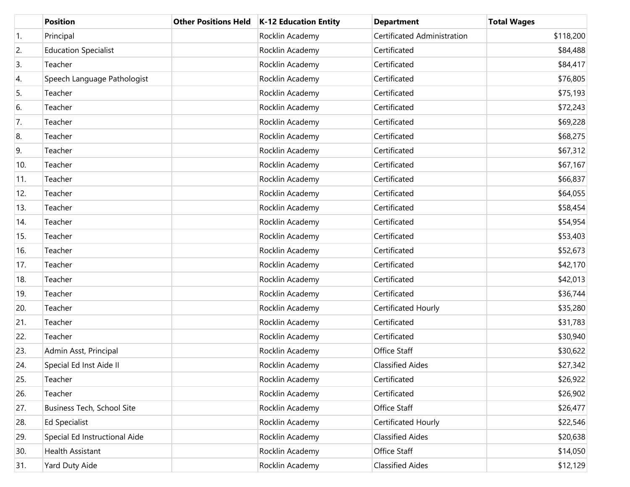|     | <b>Position</b>               | <b>Other Positions Held</b> | K-12 Education Entity | <b>Department</b>           | <b>Total Wages</b> |
|-----|-------------------------------|-----------------------------|-----------------------|-----------------------------|--------------------|
| 1.  | Principal                     |                             | Rocklin Academy       | Certificated Administration | \$118,200          |
| 2.  | <b>Education Specialist</b>   |                             | Rocklin Academy       | Certificated                | \$84,488           |
| 3.  | Teacher                       |                             | Rocklin Academy       | Certificated                | \$84,417           |
| 4.  | Speech Language Pathologist   |                             | Rocklin Academy       | Certificated                | \$76,805           |
| 5.  | Teacher                       |                             | Rocklin Academy       | Certificated                | \$75,193           |
| 6.  | Teacher                       |                             | Rocklin Academy       | Certificated                | \$72,243           |
| 7.  | Teacher                       |                             | Rocklin Academy       | Certificated                | \$69,228           |
| 8.  | Teacher                       |                             | Rocklin Academy       | Certificated                | \$68,275           |
| 9.  | Teacher                       |                             | Rocklin Academy       | Certificated                | \$67,312           |
| 10. | Teacher                       |                             | Rocklin Academy       | Certificated                | \$67,167           |
| 11. | Teacher                       |                             | Rocklin Academy       | Certificated                | \$66,837           |
| 12. | Teacher                       |                             | Rocklin Academy       | Certificated                | \$64,055           |
| 13. | Teacher                       |                             | Rocklin Academy       | Certificated                | \$58,454           |
| 14. | Teacher                       |                             | Rocklin Academy       | Certificated                | \$54,954           |
| 15. | Teacher                       |                             | Rocklin Academy       | Certificated                | \$53,403           |
| 16. | Teacher                       |                             | Rocklin Academy       | Certificated                | \$52,673           |
| 17. | Teacher                       |                             | Rocklin Academy       | Certificated                | \$42,170           |
| 18. | Teacher                       |                             | Rocklin Academy       | Certificated                | \$42,013           |
| 19. | Teacher                       |                             | Rocklin Academy       | Certificated                | \$36,744           |
| 20. | Teacher                       |                             | Rocklin Academy       | Certificated Hourly         | \$35,280           |
| 21. | Teacher                       |                             | Rocklin Academy       | Certificated                | \$31,783           |
| 22. | Teacher                       |                             | Rocklin Academy       | Certificated                | \$30,940           |
| 23. | Admin Asst, Principal         |                             | Rocklin Academy       | Office Staff                | \$30,622           |
| 24. | Special Ed Inst Aide II       |                             | Rocklin Academy       | <b>Classified Aides</b>     | \$27,342           |
| 25. | Teacher                       |                             | Rocklin Academy       | Certificated                | \$26,922           |
| 26. | Teacher                       |                             | Rocklin Academy       | Certificated                | \$26,902           |
| 27. | Business Tech, School Site    |                             | Rocklin Academy       | Office Staff                | \$26,477           |
| 28. | <b>Ed Specialist</b>          |                             | Rocklin Academy       | Certificated Hourly         | \$22,546           |
| 29. | Special Ed Instructional Aide |                             | Rocklin Academy       | <b>Classified Aides</b>     | \$20,638           |
| 30. | Health Assistant              |                             | Rocklin Academy       | Office Staff                | \$14,050           |
| 31. | Yard Duty Aide                |                             | Rocklin Academy       | <b>Classified Aides</b>     | \$12,129           |